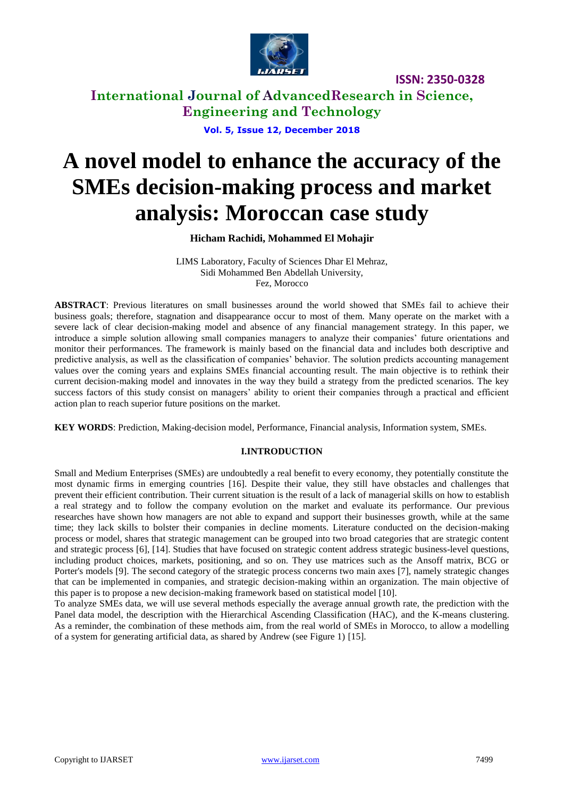

**International Journal of AdvancedResearch in Science, Engineering and Technology**

**Vol. 5, Issue 12, December 2018**

# **A novel model to enhance the accuracy of the SMEs decision-making process and market analysis: Moroccan case study**

# **Hicham Rachidi, Mohammed El Mohajir**

LIMS Laboratory, Faculty of Sciences Dhar El Mehraz, Sidi Mohammed Ben Abdellah University, Fez, Morocco

**ABSTRACT**: Previous literatures on small businesses around the world showed that SMEs fail to achieve their business goals; therefore, stagnation and disappearance occur to most of them. Many operate on the market with a severe lack of clear decision-making model and absence of any financial management strategy. In this paper, we introduce a simple solution allowing small companies managers to analyze their companies' future orientations and monitor their performances. The framework is mainly based on the financial data and includes both descriptive and predictive analysis, as well as the classification of companies' behavior. The solution predicts accounting management values over the coming years and explains SMEs financial accounting result. The main objective is to rethink their current decision-making model and innovates in the way they build a strategy from the predicted scenarios. The key success factors of this study consist on managers' ability to orient their companies through a practical and efficient action plan to reach superior future positions on the market.

**KEY WORDS**: Prediction, Making-decision model, Performance, Financial analysis, Information system, SMEs.

# **I.INTRODUCTION**

Small and Medium Enterprises (SMEs) are undoubtedly a real benefit to every economy, they potentially constitute the most dynamic firms in emerging countries [16]. Despite their value, they still have obstacles and challenges that prevent their efficient contribution. Their current situation is the result of a lack of managerial skills on how to establish a real strategy and to follow the company evolution on the market and evaluate its performance. Our previous researches have shown how managers are not able to expand and support their businesses growth, while at the same time; they lack skills to bolster their companies in decline moments. Literature conducted on the decision-making process or model, shares that strategic management can be grouped into two broad categories that are strategic content and strategic process [6], [14]. Studies that have focused on strategic content address strategic business-level questions, including product choices, markets, positioning, and so on. They use matrices such as the Ansoff matrix, BCG or Porter's models [9]. The second category of the strategic process concerns two main axes [7], namely strategic changes that can be implemented in companies, and strategic decision-making within an organization. The main objective of this paper is to propose a new decision-making framework based on statistical model [10].

To analyze SMEs data, we will use several methods especially the average annual growth rate, the prediction with the Panel data model, the description with the Hierarchical Ascending Classification (HAC), and the K-means clustering. As a reminder, the combination of these methods aim, from the real world of SMEs in Morocco, to allow a modelling of a system for generating artificial data, as shared by Andrew (see Figure 1) [15].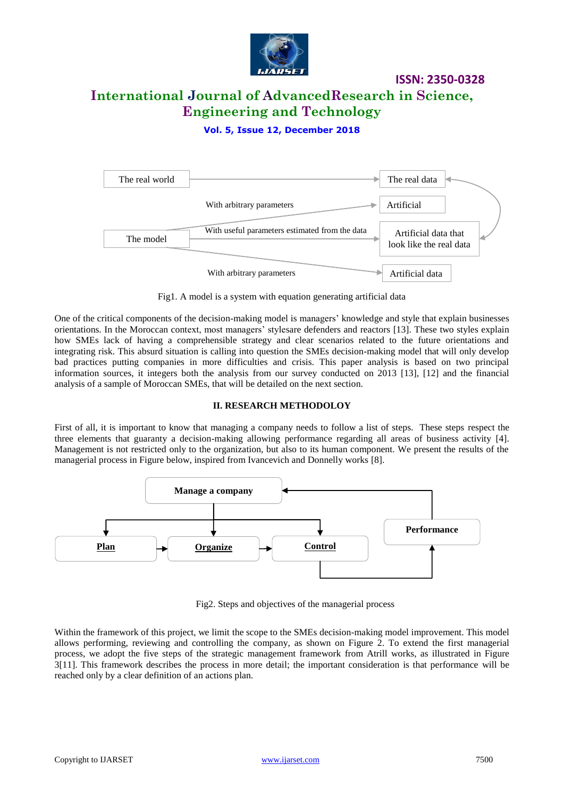

# **International Journal of AdvancedResearch in Science, Engineering and Technology**

**Vol. 5, Issue 12, December 2018**



Fig1. A model is a system with equation generating artificial data

One of the critical components of the decision-making model is managers' knowledge and style that explain businesses orientations. In the Moroccan context, most managers' stylesare defenders and reactors [13]. These two styles explain how SMEs lack of having a comprehensible strategy and clear scenarios related to the future orientations and integrating risk. This absurd situation is calling into question the SMEs decision-making model that will only develop bad practices putting companies in more difficulties and crisis. This paper analysis is based on two principal information sources, it integers both the analysis from our survey conducted on 2013 [13], [12] and the financial analysis of a sample of Moroccan SMEs, that will be detailed on the next section.

### **II. RESEARCH METHODOLOY**

First of all, it is important to know that managing a company needs to follow a list of steps. These steps respect the three elements that guaranty a decision-making allowing performance regarding all areas of business activity [4]. Management is not restricted only to the organization, but also to its human component. We present the results of the managerial process in Figure below, inspired from Ivancevich and Donnelly works [8].



Fig2. Steps and objectives of the managerial process

Within the framework of this project, we limit the scope to the SMEs decision-making model improvement. This model allows performing, reviewing and controlling the company, as shown on Figure 2. To extend the first managerial process, we adopt the five steps of the strategic management framework from Atrill works, as illustrated in Figure 3[11]. This framework describes the process in more detail; the important consideration is that performance will be reached only by a clear definition of an actions plan.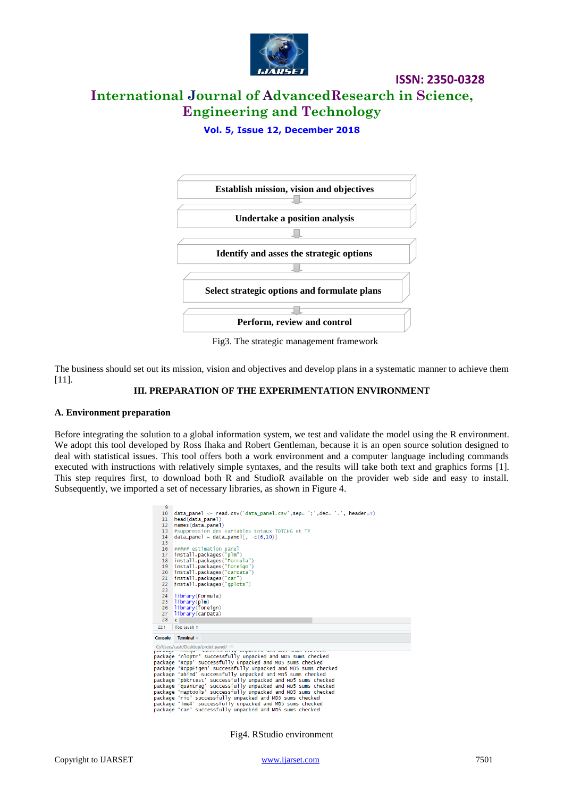

# **International Journal of AdvancedResearch in Science, Engineering and Technology**

**Vol. 5, Issue 12, December 2018**



Fig3. The strategic management framework

The business should set out its mission, vision and objectives and develop plans in a systematic manner to achieve them [11].

### **III. PREPARATION OF THE EXPERIMENTATION ENVIRONMENT**

#### **A. Environment preparation**

Before integrating the solution to a global information system, we test and validate the model using the R environment. We adopt this tool developed by Ross Ihaka and Robert Gentleman, because it is an open source solution designed to deal with statistical issues. This tool offers both a work environment and a computer language including commands executed with instructions with relatively simple syntaxes, and the results will take both text and graphics forms [1]. This step requires first, to download both R and StudioR available on the provider web side and easy to install. Subsequently, we imported a set of necessary libraries, as shown in Figure 4.

| м                                                             |                                                                               |  |  |  |  |  |  |  |  |
|---------------------------------------------------------------|-------------------------------------------------------------------------------|--|--|--|--|--|--|--|--|
| 10                                                            | $data\_panel < - read.csv('data\_panel.csv', sep= '; ', dec= '. ', header=T)$ |  |  |  |  |  |  |  |  |
| 11                                                            | head(data_panel)                                                              |  |  |  |  |  |  |  |  |
| 12 <sup>2</sup>                                               | names (data_panel)                                                            |  |  |  |  |  |  |  |  |
| 13 <sup>°</sup>                                               | #suppression des variables totaux TOTCHG et TP                                |  |  |  |  |  |  |  |  |
| 14                                                            | $data\_panel = data\_panel$ , $-c(6, 10)$ ]                                   |  |  |  |  |  |  |  |  |
| 15                                                            |                                                                               |  |  |  |  |  |  |  |  |
| 16                                                            | ##### estimation panel                                                        |  |  |  |  |  |  |  |  |
| 17                                                            | install.packages("plm")                                                       |  |  |  |  |  |  |  |  |
| 18                                                            | install.packages("Formula")                                                   |  |  |  |  |  |  |  |  |
| 19                                                            | install.packages("foreign")                                                   |  |  |  |  |  |  |  |  |
| 20                                                            | install.packages("carData")                                                   |  |  |  |  |  |  |  |  |
| 21                                                            | install.packages("car")                                                       |  |  |  |  |  |  |  |  |
| 22                                                            | install.packages("gplots")                                                    |  |  |  |  |  |  |  |  |
| 23                                                            |                                                                               |  |  |  |  |  |  |  |  |
| 24                                                            | library(Formula)                                                              |  |  |  |  |  |  |  |  |
| 25                                                            | library(plm)                                                                  |  |  |  |  |  |  |  |  |
| 26                                                            | library(foreign)                                                              |  |  |  |  |  |  |  |  |
| 27                                                            | library(carData)                                                              |  |  |  |  |  |  |  |  |
| 28                                                            | $\epsilon$                                                                    |  |  |  |  |  |  |  |  |
| 22:1                                                          | (Top Level) $\Leftrightarrow$                                                 |  |  |  |  |  |  |  |  |
|                                                               |                                                                               |  |  |  |  |  |  |  |  |
| Console                                                       | Terminal ×                                                                    |  |  |  |  |  |  |  |  |
|                                                               | DUCCCOSTRITY MINUCKCH MINITIOS SUINS CIRCUNCH                                 |  |  |  |  |  |  |  |  |
| package                                                       | <b>HELP</b><br>package'nloptr'successfully unpacked and MD5 sums checked      |  |  |  |  |  |  |  |  |
|                                                               | package 'Rcpp' successfully unpacked and MD5 sums checked                     |  |  |  |  |  |  |  |  |
|                                                               | package 'RcppEigen' successfully unpacked and MD5 sums checked                |  |  |  |  |  |  |  |  |
|                                                               | package 'abind' successfully unpacked and MD5 sums checked                    |  |  |  |  |  |  |  |  |
|                                                               | package 'pbkrtest' successfully unpacked and MD5 sums checked                 |  |  |  |  |  |  |  |  |
| package 'quantreg' successfully unpacked and MD5 sums checked |                                                                               |  |  |  |  |  |  |  |  |
| package 'maptools' successfully unpacked and MD5 sums checked |                                                                               |  |  |  |  |  |  |  |  |
| package 'rio' successfully unpacked and MD5 sums checked      |                                                                               |  |  |  |  |  |  |  |  |
| package'lme4'successfully unpacked and MD5 sums checked       |                                                                               |  |  |  |  |  |  |  |  |
|                                                               | package'car'successfully unpacked and MD5 sums checked                        |  |  |  |  |  |  |  |  |
|                                                               |                                                                               |  |  |  |  |  |  |  |  |

Fig4. RStudio environment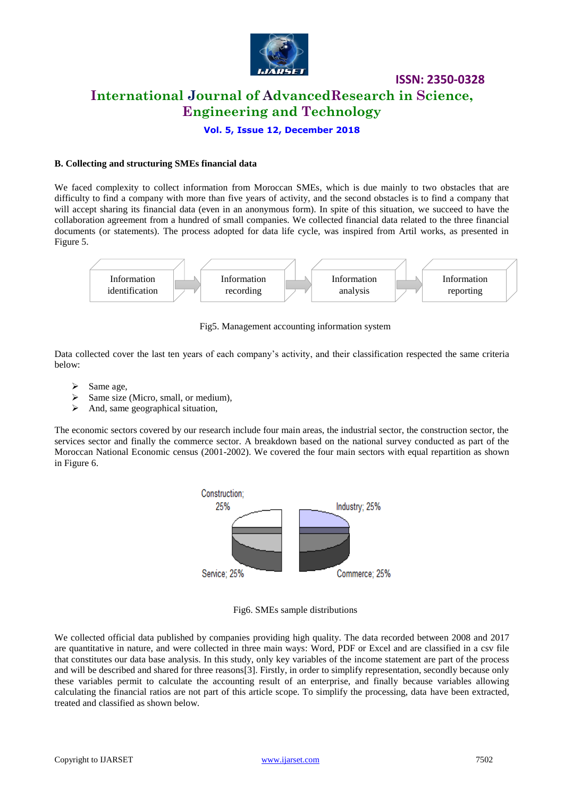

# **International Journal of AdvancedResearch in Science, Engineering and Technology**

**ISSN: 2350-0328**

**Vol. 5, Issue 12, December 2018**

#### **B. Collecting and structuring SMEs financial data**

We faced complexity to collect information from Moroccan SMEs, which is due mainly to two obstacles that are difficulty to find a company with more than five years of activity, and the second obstacles is to find a company that will accept sharing its financial data (even in an anonymous form). In spite of this situation, we succeed to have the collaboration agreement from a hundred of small companies. We collected financial data related to the three financial documents (or statements). The process adopted for data life cycle, was inspired from Artil works, as presented in Figure 5.



Fig5. Management accounting information system

Data collected cover the last ten years of each company's activity, and their classification respected the same criteria below:

- Same age,
- Same size (Micro, small, or medium),
- $\triangleright$  And, same geographical situation,

The economic sectors covered by our research include four main areas, the industrial sector, the construction sector, the services sector and finally the commerce sector. A breakdown based on the national survey conducted as part of the Moroccan National Economic census (2001-2002). We covered the four main sectors with equal repartition as shown in Figure 6.



Fig6. SMEs sample distributions

We collected official data published by companies providing high quality. The data recorded between 2008 and 2017 are quantitative in nature, and were collected in three main ways: Word, PDF or Excel and are classified in a csv file that constitutes our data base analysis. In this study, only key variables of the income statement are part of the process and will be described and shared for three reasons[3]. Firstly, in order to simplify representation, secondly because only these variables permit to calculate the accounting result of an enterprise, and finally because variables allowing calculating the financial ratios are not part of this article scope. To simplify the processing, data have been extracted, treated and classified as shown below.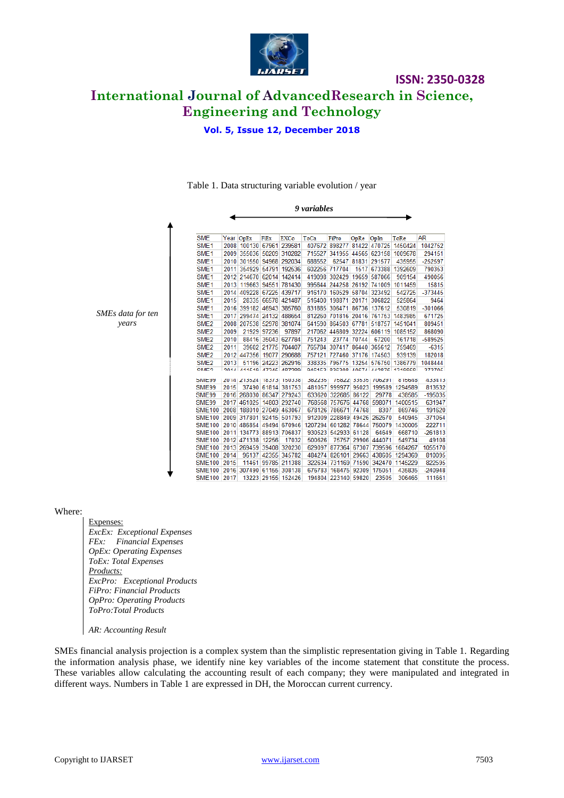

**ISSN: 2350-0328 International Journal of AdvancedResearch in Science, Engineering and Technology**

**Vol. 5, Issue 12, December 2018**

|              |                                |      |                          |             |                                                        | 9 variables |                              |             |                    |                                                              |                  |
|--------------|--------------------------------|------|--------------------------|-------------|--------------------------------------------------------|-------------|------------------------------|-------------|--------------------|--------------------------------------------------------------|------------------|
|              |                                |      |                          |             |                                                        |             |                              |             |                    |                                                              |                  |
|              | <b>SME</b>                     |      | Year OpEx                | FiEx        | <b>EXCo</b>                                            | ToCa        | FiPro                        | OpRe OpIn   |                    | ToRe                                                         | <b>AR</b>        |
|              | SME <sub>1</sub>               |      |                          |             | 2008 100130 67961 239581                               |             |                              |             |                    | 407672 898277 81422 470725 1450424                           | 1042752          |
|              | SME <sub>1</sub>               |      | 2009 355036 50209 310282 |             |                                                        |             |                              |             |                    | 715527 341955 44565 623158 1009678                           | 294151           |
|              | SME <sub>1</sub>               |      | 2010 301550 94968 292034 |             |                                                        | 688552      |                              |             | 62547 81831 291577 | 435955                                                       | $-252597$        |
|              | SME <sub>1</sub>               |      | 2011 354929 54791 192536 |             |                                                        |             | 602256 717704                |             |                    | 1517 673388 1392609                                          | 790353           |
|              | SME <sub>1</sub>               |      |                          |             | 2012 214670 62014 142414                               |             | 419098 302429 19659 587066   |             |                    | 909154                                                       | 490056           |
|              | SME <sub>1</sub>               |      | 2013 119663 94551 781430 |             |                                                        |             | 995644 244258 26192 741009   |             |                    | 1011459                                                      | 15815            |
|              | SME <sub>1</sub>               |      |                          |             | 2014 409228 67225 439717                               |             | 916170 160529 58704 323492   |             |                    | 542725                                                       | $-373445$        |
|              | SME <sub>1</sub>               | 2015 |                          |             | 28335 66578 421487                                     |             | 516400 198871 20171 306822   |             |                    | 525864                                                       | 9464             |
|              | SME <sub>1</sub>               |      | 2016 399182 46943 385760 |             |                                                        |             | 831885 306471 86736 137612   |             |                    | 530819                                                       | $-301066$        |
| data for ten | SME <sub>1</sub>               |      | 2017 299474 24132 488654 |             |                                                        |             |                              |             |                    | 812260 701816 20416 761753 1483985                           | 671725           |
| vears        | SME <sub>2</sub>               |      | 2008 207538 52978 381074 |             |                                                        |             |                              |             |                    | 641590 864503 67781 518757 1451041                           | 809451           |
|              | SME <sub>2</sub>               | 2009 |                          | 21929 97236 | 97897                                                  |             |                              |             |                    | 217062 446809 32224 606119 1085152                           | 868090           |
|              | SME <sub>2</sub>               | 2010 |                          |             | 88416 35043 627784                                     | 751243      |                              | 23774 70744 | 67200              | 161718                                                       | -589525          |
|              | SME <sub>2</sub>               | 2011 |                          |             | 39602 21775 704407                                     |             | 765784 307417 86440 365612   |             |                    | 759469                                                       | $-6315$          |
|              | SME <sub>2</sub>               |      | 2012 447356 19077 290688 |             |                                                        |             | 757121 727460 37176 174503   |             |                    | 939139                                                       | 182018           |
|              | SME <sub>2</sub>               | 2013 |                          |             | 51196 24223 262916                                     |             |                              |             |                    | 338335 796775 13254 576750 1386779                           | 1048444          |
|              | <b>CAMP?</b>                   |      |                          |             | <b>2014 211510 47345 487280</b>                        |             |                              |             |                    | <b>046163 336308 40674 449876 1310868</b>                    | 373705           |
|              |                                |      |                          |             |                                                        |             |                              |             |                    |                                                              |                  |
|              | <b>PIMIEAA</b><br><b>SME99</b> | 2015 |                          |             | ZU14   Z135Z4   18373   150338  <br>37490 61814 381753 |             | 36ZZ35  756ZZ  33535  706Z91 |             |                    | 015646<br>481057 999977 95023 199589 1294589                 | 433413<br>813532 |
|              | <b>SME99</b>                   |      |                          |             | 2016 268030 86347 279243                               |             | 633620 322685 86122          |             | 29778              | 438585                                                       | $-195035$        |
|              | <b>SME99</b>                   |      |                          |             | 2017 461025 14803 292740                               |             |                              |             |                    | 768568 757676 44768 598071 1400515                           | 631947           |
|              | <b>SME100</b>                  |      |                          |             | 2008 188010 27049 463067                               |             | 678126 786671 74768          |             | 8307               | 869746                                                       | 191620           |
|              | <b>SME100</b>                  |      |                          |             | 2009 317801 92415 501793                               |             | 912009 228849 49426 262670   |             |                    | 540945                                                       | $-371064$        |
|              | <b>SME100</b>                  |      |                          |             |                                                        |             |                              |             |                    | 2010 486854 49494 670946 1207294 601282 78644 750079 1430005 | 222711           |
|              | <b>SME100</b>                  |      | 2011 134773 88913 706837 |             |                                                        |             | 930523 542933 61128          |             | 64649              | 668710                                                       | $-261813$        |
|              | <b>SME100</b>                  |      | 2012 471338 12256        |             | 17032                                                  | 500626      |                              |             | 75757 29906 444071 | 549734                                                       | 49108            |
|              | <b>SME100</b>                  |      |                          |             | 2013 269459 39408 320230                               |             |                              |             |                    | 629097 877364 67307 739596 1684267                           | 1055170          |
|              | <b>SME100</b>                  | 2014 |                          |             | 96137 42355 345782                                     |             |                              |             |                    | 484274 826101 29663 438605 1294369                           | 810095           |
|              | <b>SME100</b>                  | 2015 |                          |             | 11461 99785 211388                                     |             |                              |             |                    | 322634 731169 71590 342470 1145229                           | 822595           |
|              | <b>SME100</b>                  |      |                          |             | 2016 307490 61155 308138                               |             | 676783 168475 92309 175051   |             |                    | 435835                                                       | $-240948$        |
|              | SME100 2017                    |      |                          |             | 13223 29155 152426                                     |             | 194804 223140 59820          |             | 23505              | 306465                                                       | 111661           |

### Table 1. Data structuring variable evolution / year

Where:

 $SMEs$ 

Expenses: *ExcEx: Exceptional Expenses FEx: Financial Expenses OpEx: Operating Expenses ToEx: Total Expenses Products: ExcPro: Exceptional Products FiPro: Financial Products OpPro: Operating Products ToPro:Total Products*

*AR: Accounting Result*

SMEs financial analysis projection is a complex system than the simplistic representation giving in Table 1. Regarding the information analysis phase, we identify nine key variables of the income statement that constitute the process. These variables allow calculating the accounting result of each company; they were manipulated and integrated in different ways. Numbers in Table 1 are expressed in DH, the Moroccan current currency.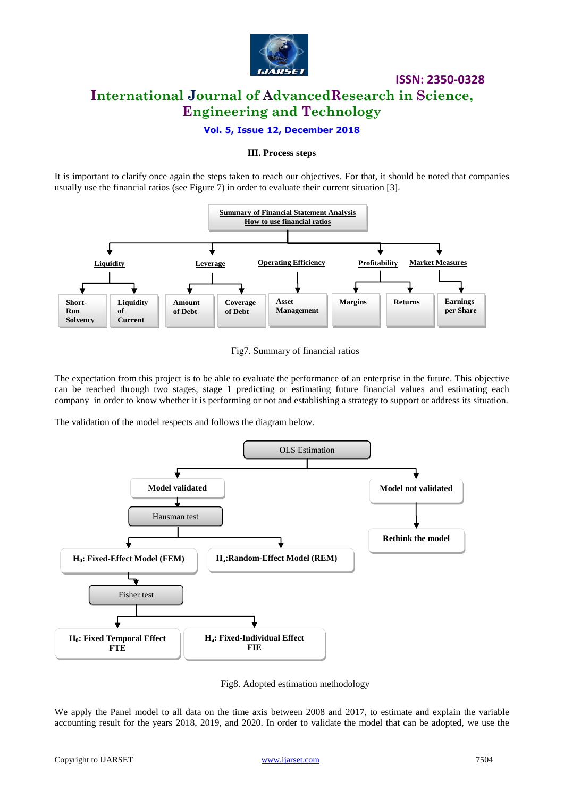

# **ISSN: 2350-0328 International Journal of AdvancedResearch in Science, Engineering and Technology**

# **Vol. 5, Issue 12, December 2018**

#### **III. Process steps**

It is important to clarify once again the steps taken to reach our objectives. For that, it should be noted that companies usually use the financial ratios (see Figure 7) in order to evaluate their current situation [3].





The expectation from this project is to be able to evaluate the performance of an enterprise in the future. This objective can be reached through two stages, stage 1 predicting or estimating future financial values and estimating each company in order to know whether it is performing or not and establishing a strategy to support or address its situation.

The validation of the model respects and follows the diagram below.



Fig8. Adopted estimation methodology

We apply the Panel model to all data on the time axis between 2008 and 2017, to estimate and explain the variable accounting result for the years 2018, 2019, and 2020. In order to validate the model that can be adopted, we use the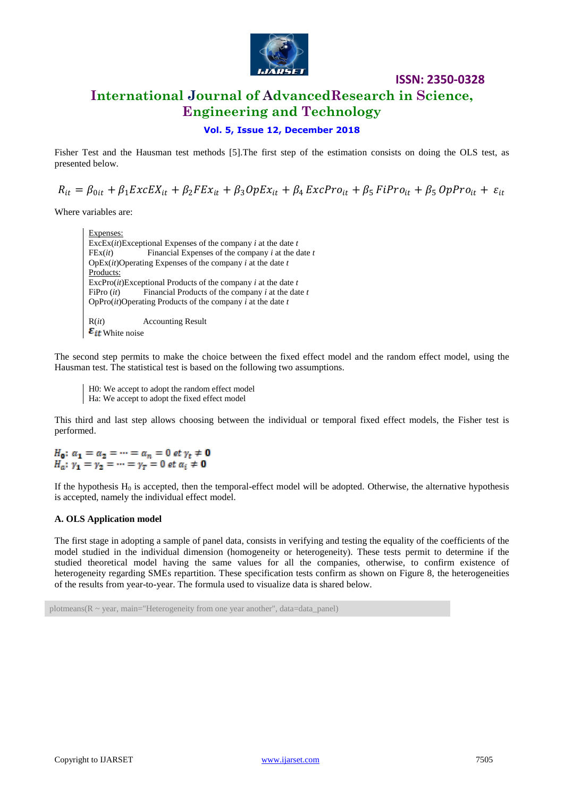

# **International Journal of AdvancedResearch in Science, Engineering and Technology**

# **Vol. 5, Issue 12, December 2018**

Fisher Test and the Hausman test methods [5].The first step of the estimation consists on doing the OLS test, as presented below.

 $R_{it} = \beta_{0it} + \beta_1 ExcEX_{it} + \beta_2 FEx_{it} + \beta_3 OpEx_{it} + \beta_4 ExcPro_{it} + \beta_5 FiPro_{it} + \beta_5 OpPro_{it} + \varepsilon_{it}$ 

Where variables are:

Expenses: ExcEx(*it*)Exceptional Expenses of the company *i* at the date *t* FEx(*it*) Financial Expenses of the company *i* at the date *t* OpEx(*it*)Operating Expenses of the company *i* at the date *t* Products: ExcPro(*it*)Exceptional Products of the company *i* at the date *t* FiPro (*it*) Financial Products of the company *i* at the date *t* OpPro(*it*)Operating Products of the company *i* at the date *t* R(*it*) Accounting Result  $\varepsilon_{it}$  White noise

The second step permits to make the choice between the fixed effect model and the random effect model, using the Hausman test. The statistical test is based on the following two assumptions.

H0: We accept to adopt the random effect model Ha: We accept to adopt the fixed effect model

This third and last step allows choosing between the individual or temporal fixed effect models, the Fisher test is performed.

 $H_0: \alpha_1 = \alpha_2 = \cdots = \alpha_n = 0$  et  $\gamma_t \neq 0$  $H_a: \gamma_1 = \gamma_2 = \cdots = \gamma_T = 0$  et  $\alpha_i \neq 0$ 

If the hypothesis  $H_0$  is accepted, then the temporal-effect model will be adopted. Otherwise, the alternative hypothesis is accepted, namely the individual effect model.

### **A. OLS Application model**

The first stage in adopting a sample of panel data, consists in verifying and testing the equality of the coefficients of the model studied in the individual dimension (homogeneity or heterogeneity). These tests permit to determine if the studied theoretical model having the same values for all the companies, otherwise, to confirm existence of heterogeneity regarding SMEs repartition. These specification tests confirm as shown on Figure 8, the heterogeneities of the results from year-to-year. The formula used to visualize data is shared below.

plotmeans( $R \sim$  year, main="Heterogeneity from one year another", data=data\_panel)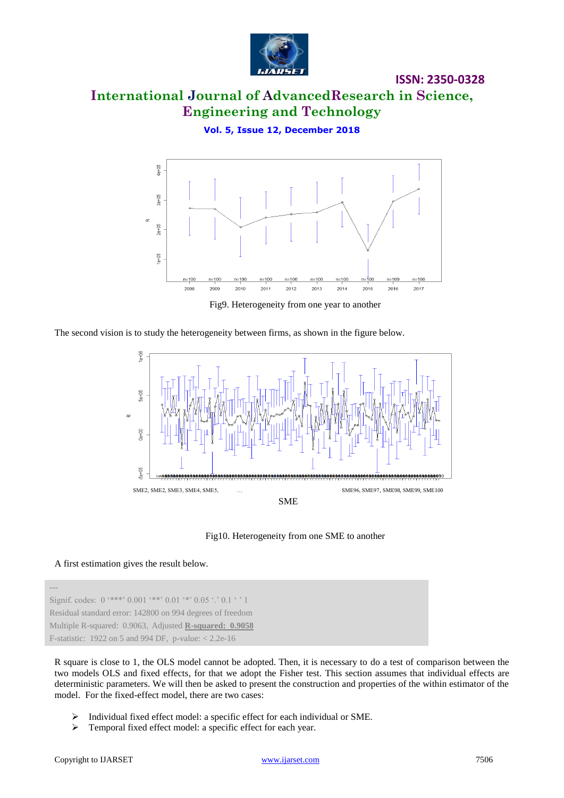

# **International Journal of AdvancedResearch in Science, Engineering and Technology**

**Vol. 5, Issue 12, December 2018**



Fig9. Heterogeneity from one year to another

The second vision is to study the heterogeneity between firms, as shown in the figure below.



Fig10. Heterogeneity from one SME to another

### A first estimation gives the result below.

Signif. codes:  $0$  '\*\*\*'  $0.001$  '\*\*'  $0.01$  '\*'  $0.05$  '.'  $0.1$  ' ' 1 Residual standard error: 142800 on 994 degrees of freedom Multiple R-squared: 0.9063, Adjusted **R-squared: 0.9058** F-statistic: 1922 on 5 and 994 DF, p-value: < 2.2e-16

R square is close to 1, the OLS model cannot be adopted. Then, it is necessary to do a test of comparison between the two models OLS and fixed effects, for that we adopt the Fisher test. This section assumes that individual effects are deterministic parameters. We will then be asked to present the construction and properties of the within estimator of the model. For the fixed-effect model, there are two cases:

- Individual fixed effect model: a specific effect for each individual or SME.
- > Temporal fixed effect model: a specific effect for each year.

---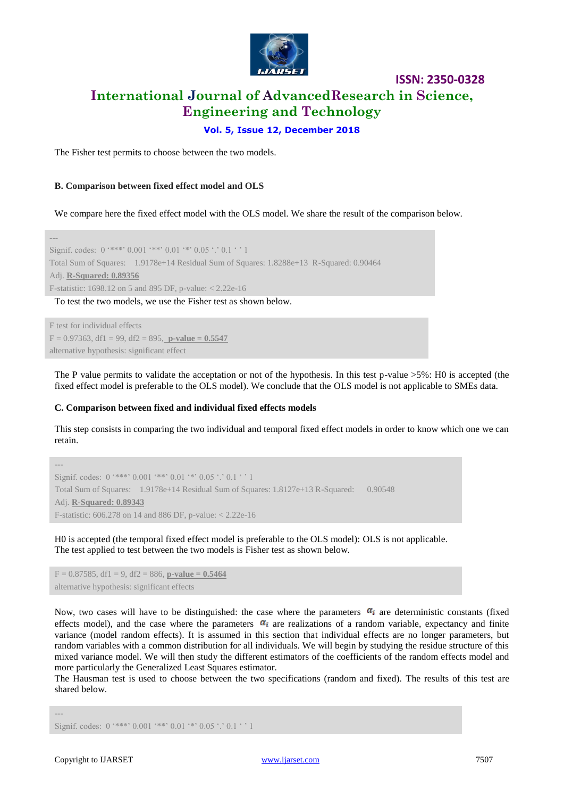

# **International Journal of AdvancedResearch in Science, Engineering and Technology**

**ISSN: 2350-0328**

### **Vol. 5, Issue 12, December 2018**

The Fisher test permits to choose between the two models.

#### **B. Comparison between fixed effect model and OLS**

We compare here the fixed effect model with the OLS model. We share the result of the comparison below.

--- Signif. codes:  $0$  '\*\*\*'  $0.001$  '\*\*'  $0.01$  '\*'  $0.05$  '.'  $0.1$  ' ' 1 Total Sum of Squares: 1.9178e+14 Residual Sum of Squares: 1.8288e+13 R-Squared: 0.90464 Adj. **R-Squared: 0.89356** F-statistic: 1698.12 on 5 and 895 DF, p-value: < 2.22e-16 To test the two models, we use the Fisher test as shown below.

F test for individual effects  $F = 0.97363$ , df1 = 99, df2 = 895, **p-value = 0.5547** alternative hypothesis: significant effect

The P value permits to validate the acceptation or not of the hypothesis. In this test p-value >5%: H0 is accepted (the fixed effect model is preferable to the OLS model). We conclude that the OLS model is not applicable to SMEs data.

#### **C. Comparison between fixed and individual fixed effects models**

This step consists in comparing the two individual and temporal fixed effect models in order to know which one we can retain.

```
---
Signif. codes: 0 '***' 0.001 '**' 0.01 '*' 0.05 '' 0.1 '' 1
Total Sum of Squares: 1.9178e+14 Residual Sum of Squares: 1.8127e+13 R-Squared: 0.90548
Adj. R-Squared: 0.89343
F-statistic: 606.278 on 14 and 886 DF, p-value: < 2.22e-16
```
H0 is accepted (the temporal fixed effect model is preferable to the OLS model): OLS is not applicable. The test applied to test between the two models is Fisher test as shown below.

 $F = 0.87585$ , df1 = 9, df2 = 886, **p-value = 0.5464** alternative hypothesis: significant effects

Now, two cases will have to be distinguished: the case where the parameters  $\alpha_i$  are deterministic constants (fixed effects model), and the case where the parameters  $\alpha_i$  are realizations of a random variable, expectancy and finite variance (model random effects). It is assumed in this section that individual effects are no longer parameters, but random variables with a common distribution for all individuals. We will begin by studying the residue structure of this mixed variance model. We will then study the different estimators of the coefficients of the random effects model and more particularly the Generalized Least Squares estimator.

The Hausman test is used to choose between the two specifications (random and fixed). The results of this test are shared below.

```
Signif. codes: 0 '***' 0.001 '**' 0.01 '*' 0.05 '.' 0.1 '' 1
```
---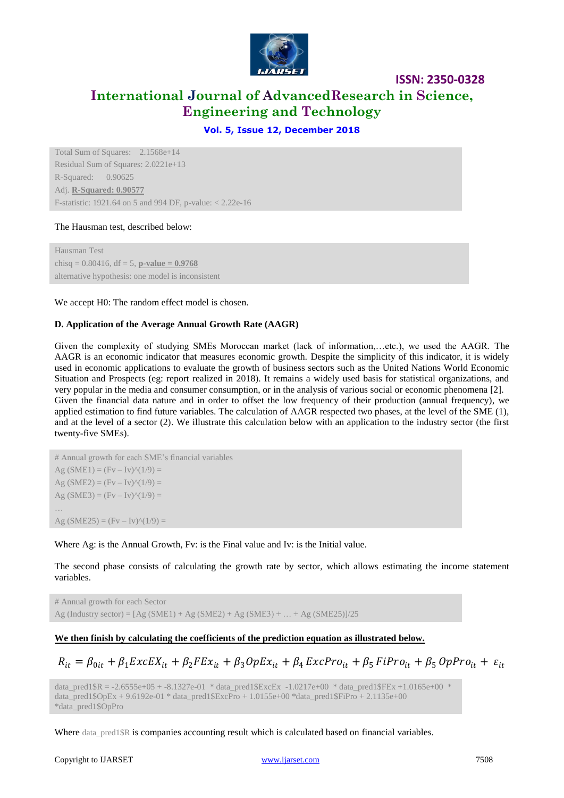

# **International Journal of AdvancedResearch in Science, Engineering and Technology**

# **Vol. 5, Issue 12, December 2018**

Total Sum of Squares: 2.1568e+14 Residual Sum of Squares: 2.0221e+13 R-Squared: 0.90625 Adj. **R-Squared: 0.90577** F-statistic: 1921.64 on 5 and 994 DF, p-value: < 2.22e-16

### The Hausman test, described below:

Hausman Test chisq =  $0.80416$ , df =  $5$ , **p-value = 0.9768** alternative hypothesis: one model is inconsistent

#### We accept H0: The random effect model is chosen.

### **D. Application of the Average Annual Growth Rate (AAGR)**

Given the complexity of studying SMEs Moroccan market (lack of information,…etc.), we used the AAGR. The AAGR is an economic indicator that measures economic growth. Despite the simplicity of this indicator, it is widely used in economic applications to evaluate the growth of business sectors such as the United Nations World Economic Situation and Prospects (eg: report realized in 2018). It remains a widely used basis for statistical organizations, and very popular in the media and consumer consumption, or in the analysis of various social or economic phenomena [2]. Given the financial data nature and in order to offset the low frequency of their production (annual frequency), we applied estimation to find future variables. The calculation of AAGR respected two phases, at the level of the SME (1), and at the level of a sector (2). We illustrate this calculation below with an application to the industry sector (the first twenty-five SMEs).

```
# Annual growth for each SME's financial variables
Ag (SME1) = (Fv - Iv)^{\wedge}(1/9) =Ag (SME2) = (Fv - Iv)^{\wedge}(1/9) =Ag (SME3) = (Fv - Iv)^{\wedge}(1/9) =…
Ag (SME25) = (Fv - Iv)^{\wedge}(1/9) =
```
Where Ag: is the Annual Growth, Fv: is the Final value and Iv: is the Initial value.

The second phase consists of calculating the growth rate by sector, which allows estimating the income statement variables.

# Annual growth for each Sector Ag (Industry sector) =  $[Ag (SME1) + Ag (SME2) + Ag (SME3) + ... + Ag (SME25)]/25$ 

### **We then finish by calculating the coefficients of the prediction equation as illustrated below.**

$$
R_{it} = \beta_{0it} + \beta_1 ExcEX_{it} + \beta_2 FEx_{it} + \beta_3 OpEx_{it} + \beta_4 ExcPro_{it} + \beta_5 Fibro_{it} + \beta_5 OppPro_{it} + \varepsilon_{it}
$$

data\_pred1\$R = -2.6555e+05 + -8.1327e-01 \* data\_pred1\$ExcEx -1.0217e+00 \* data\_pred1\$FEx +1.0165e+00 \* data\_pred1\$OpEx + 9.6192e-01 \* data\_pred1\$ExcPro + 1.0155e+00 \*data\_pred1\$FiPro + 2.1135e+00 \*data\_pred1\$OpPro

Where data\_pred1\$R is companies accounting result which is calculated based on financial variables.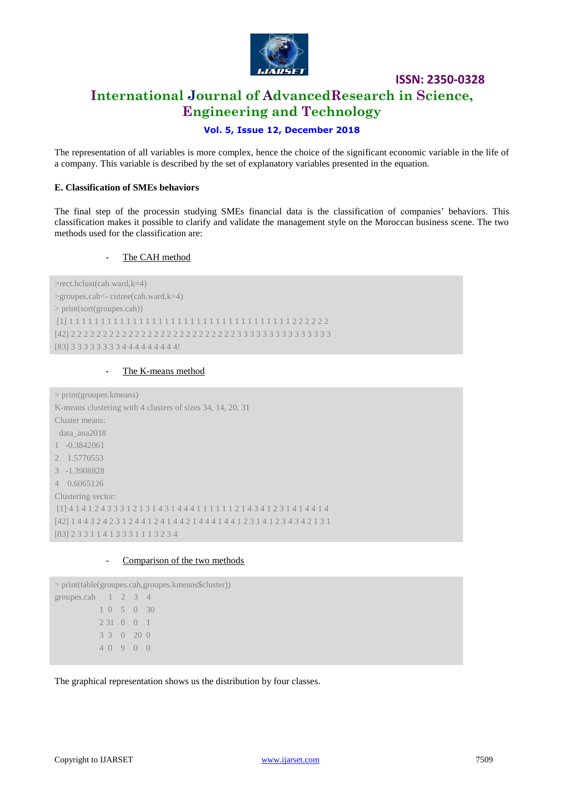

# **ISSN: 2350-0328 International Journal of AdvancedResearch in Science, Engineering and Technology**

# **Vol. 5, Issue 12, December 2018**

The representation of all variables is more complex, hence the choice of the significant economic variable in the life of a company. This variable is described by the set of explanatory variables presented in the equation.

#### **E. Classification of SMEs behaviors**

The final step of the processin studying SMEs financial data is the classification of companies' behaviors. This classification makes it possible to clarify and validate the management style on the Moroccan business scene. The two methods used for the classification are:

#### The CAH method

>rect.hclust(cah.ward,k=4) >groupes.cah<- cutree(cah.ward,k=4) > print(sort(groupes.cah)) [1] 1 1 1 1 1 1 1 1 1 1 1 1 1 1 1 1 1 1 1 1 1 1 1 1 1 1 1 1 1 1 1 1 1 1 1 2 2 2 2 2 2 [42] 2 2 2 2 2 2 2 2 2 2 2 2 2 2 2 2 2 2 2 2 2 2 2 2 2 2 3 3 3 3 3 3 3 3 3 3 3 3 3 3 3 [83] 3 3 3 3 3 3 3 3 4 4 4 4 4 4 4 4 4!

### The K-means method

| $>$ print(groupes. kmeans)                                                              |  |  |  |  |
|-----------------------------------------------------------------------------------------|--|--|--|--|
| K-means clustering with 4 clusters of sizes 34, 14, 20, 31                              |  |  |  |  |
| Cluster means:                                                                          |  |  |  |  |
| data ana2018                                                                            |  |  |  |  |
| $1 - 0.3842061$                                                                         |  |  |  |  |
| 2 1.5770553                                                                             |  |  |  |  |
| $3 - 1.3908828$                                                                         |  |  |  |  |
| 4 0.6065126                                                                             |  |  |  |  |
| Clustering vector:                                                                      |  |  |  |  |
| $[1] 4 1 4 1 2 4 3 3 3 1 2 1 3 1 4 3 1 4 4 4 1 1 1 1 1 1 2 1 4 3 4 1 2 3 1 4 1 4 4 1 4$ |  |  |  |  |
| [42] 1 4 4 3 2 4 2 3 1 2 4 4 1 2 4 1 4 4 2 1 4 4 4 1 4 4 1 2 3 1 4 1 2 3 4 3 4 2 1 3 1  |  |  |  |  |
| [83] 2 3 3 1 1 4 1 3 3 3 1 1 1 3 2 3 4                                                  |  |  |  |  |

#### - Comparison of the two methods

```
> print(table(groupes.cah,groupes.kmeans$cluster))
groupes.cah 1 \t2 \t3 \t4 1 0 5 0 30
           2 31 0 0 1
           3 3 0 20 0
           4 0 9 0 0
```
The graphical representation shows us the distribution by four classes.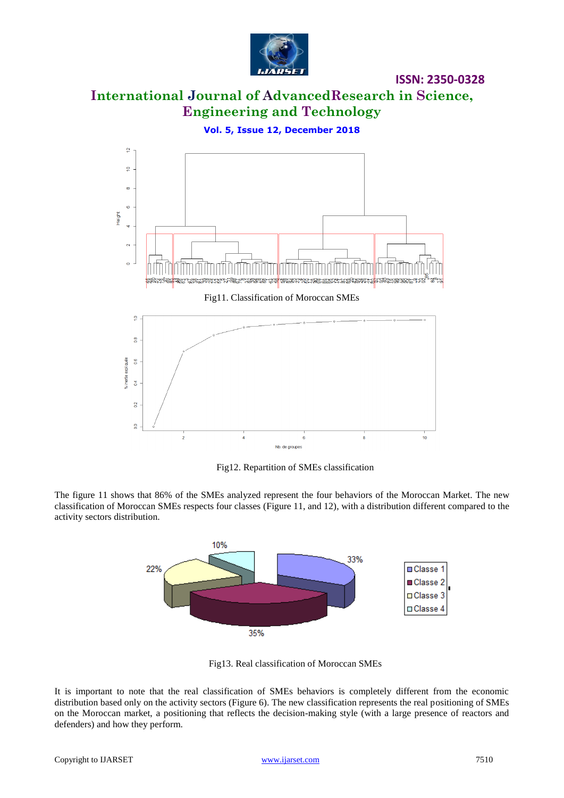

**International Journal of AdvancedResearch in Science, Engineering and Technology**

**Vol. 5, Issue 12, December 2018**



Fig12. Repartition of SMEs classification

The figure 11 shows that 86% of the SMEs analyzed represent the four behaviors of the Moroccan Market. The new classification of Moroccan SMEs respects four classes (Figure 11, and 12), with a distribution different compared to the activity sectors distribution.



Fig13. Real classification of Moroccan SMEs

It is important to note that the real classification of SMEs behaviors is completely different from the economic distribution based only on the activity sectors (Figure 6). The new classification represents the real positioning of SMEs on the Moroccan market, a positioning that reflects the decision-making style (with a large presence of reactors and defenders) and how they perform.